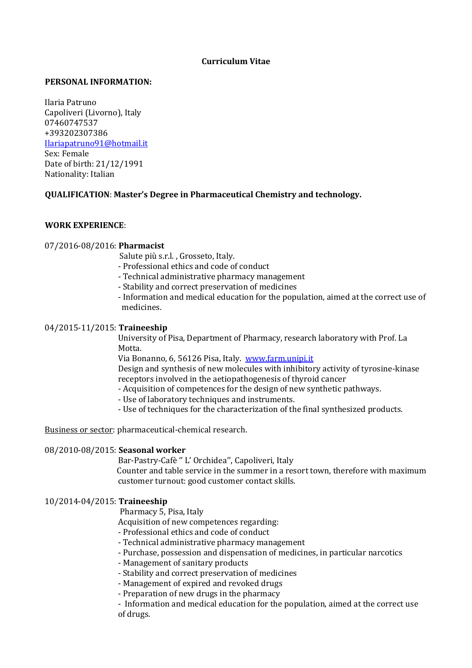### **Curriculum Vitae**

#### **PERSONAL INFORMATION:**

Ilaria Patruno Capoliveri (Livorno), Italy 07460747537 +393202307386 [Ilariapatruno91@hotmail.it](mailto:Ilariapatruno91@hotmail.it) Sex: Female Date of birth: 21/12/1991 Nationality: Italian

# **QUALIFICATION**: **Master's Degree in Pharmaceutical Chemistry and technology.**

# **WORK EXPERIENCE**:

### 07/2016-08/2016: **Pharmacist**

Salute più s.r.l. , Grosseto, Italy.

- Professional ethics and code of conduct
- Technical administrative pharmacy management
- Stability and correct preservation of medicines
- Information and medical education for the population, aimed at the correct use of medicines.

### 04/2015-11/2015: **Traineeship**

University of Pisa, Department of Pharmacy, research laboratory with Prof. La Motta.

Via Bonanno, 6, 56126 Pisa, Italy. [www.farm.unipi.it](http://www.farm.unipi.it/)

Design and synthesis of new molecules with inhibitory activity of tyrosine-kinase receptors involved in the aetiopathogenesis of thyroid cancer

- Acquisition of competences for the design of new synthetic pathways.

- Use of laboratory techniques and instruments.
- Use of techniques for the characterization of the final synthesized products.

Business or sector: pharmaceutical-chemical research.

#### 08/2010-08/2015: **Seasonal worker**

Bar-Pastry-Cafè '' L' Orchidea'', Capoliveri, Italy Counter and table service in the summer in a resort town, therefore with maximum customer turnout: good customer contact skills.

#### 10/2014-04/2015: **Traineeship**

Pharmacy 5, Pisa, Italy

Acquisition of new competences regarding:

- Professional ethics and code of conduct
- Technical administrative pharmacy management
- Purchase, possession and dispensation of medicines, in particular narcotics
- Management of sanitary products
- Stability and correct preservation of medicines
- Management of expired and revoked drugs
- Preparation of new drugs in the pharmacy

- Information and medical education for the population, aimed at the correct use of drugs.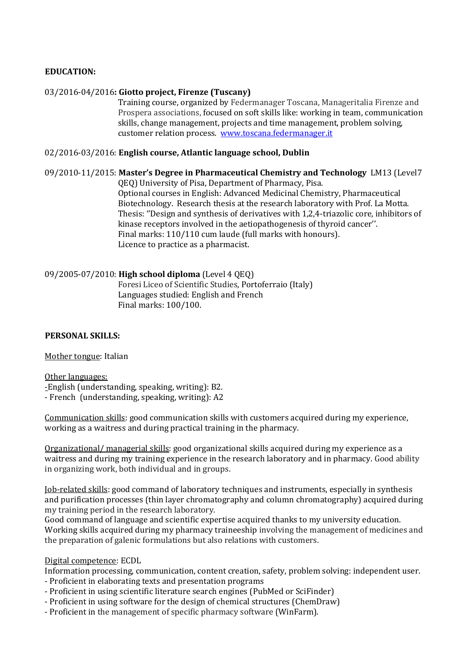# **EDUCATION:**

# 03/2016-04/2016**: Giotto project, Firenze (Tuscany)**

Training course, organized by Federmanager Toscana, Manageritalia Firenze and Prospera associations, focused on soft skills like: working in team, communication skills, change management, projects and time management, problem solving, customer relation process. [www.toscana.federmanager.it](http://www.toscana.federmanager.it/)

#### 02/2016-03/2016: **English course, Atlantic language school, Dublin**

# 09/2010-11/2015: **Master's Degree in Pharmaceutical Chemistry and Technology** LM13 (Level7

QEQ) University of Pisa, Department of Pharmacy, Pisa. Optional courses in English: Advanced Medicinal Chemistry, Pharmaceutical Biotechnology. Research thesis at the research laboratory with Prof. La Motta. Thesis: ''Design and synthesis of derivatives with 1,2,4-triazolic core, inhibitors of kinase receptors involved in the aetiopathogenesis of thyroid cancer''. Final marks: 110/110 cum laude (full marks with honours). Licence to practice as a pharmacist.

### 09/2005-07/2010: **High school diploma** (Level 4 QEQ)

Foresi Liceo of Scientific Studies, Portoferraio (Italy) Languages studied: English and French Final marks: 100/100.

### **PERSONAL SKILLS:**

Mother tongue: Italian

#### Other languages:

-English (understanding, speaking, writing): B2.

- French (understanding, speaking, writing): A2

Communication skills: good communication skills with customers acquired during my experience, working as a waitress and during practical training in the pharmacy.

Organizational/ managerial skills: good organizational skills acquired during my experience as a waitress and during my training experience in the research laboratory and in pharmacy. Good ability in organizing work, both individual and in groups.

Job-related skills: good command of laboratory techniques and instruments, especially in synthesis and purification processes (thin layer chromatography and column chromatography) acquired during my training period in the research laboratory.

Good command of language and scientific expertise acquired thanks to my university education. Working skills acquired during my pharmacy traineeship involving the management of medicines and the preparation of galenic formulations but also relations with customers.

#### Digital competence: ECDL

Information processing, communication, content creation, safety, problem solving: independent user.

- Proficient in elaborating texts and presentation programs
- Proficient in using scientific literature search engines (PubMed or SciFinder)
- Proficient in using software for the design of chemical structures (ChemDraw)
- Proficient in the management of specific pharmacy software (WinFarm).